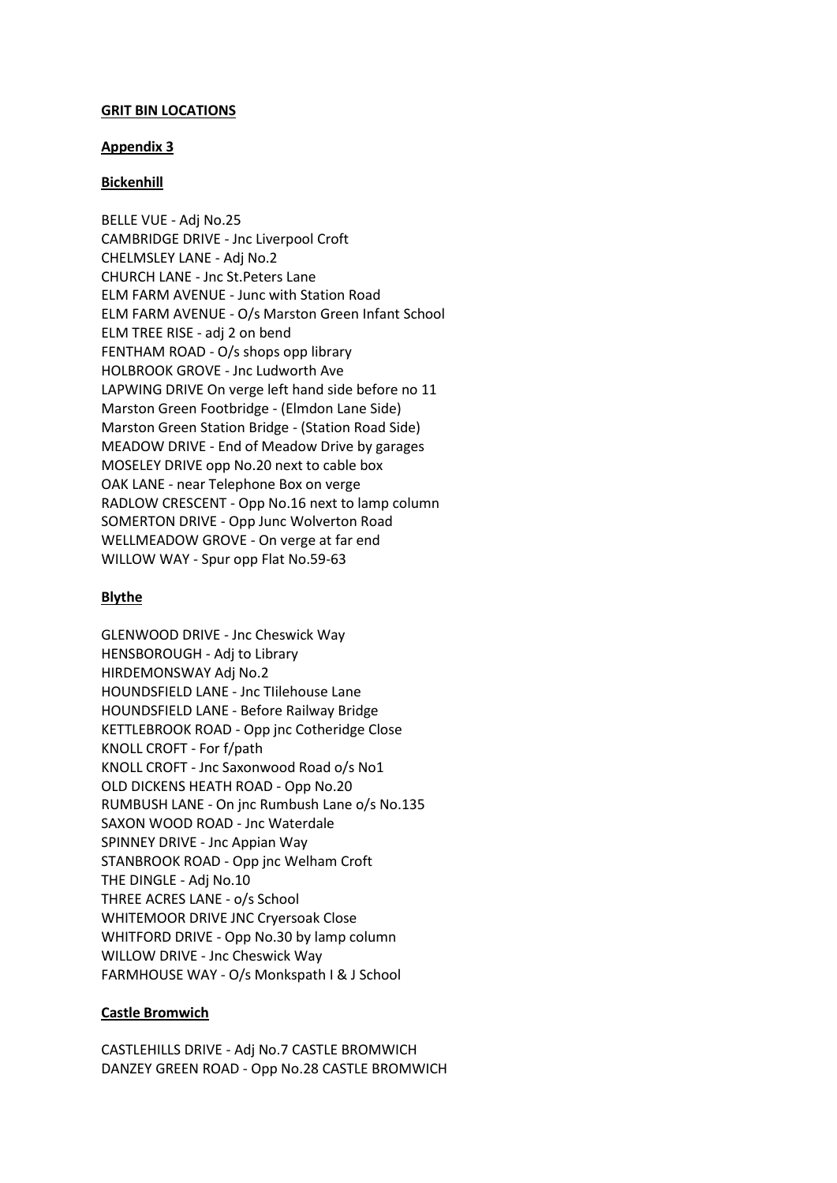### **GRIT BIN LOCATIONS**

### **Appendix 3**

## **Bickenhill**

BELLE VUE - Adj No.25 CAMBRIDGE DRIVE - Jnc Liverpool Croft CHELMSLEY LANE - Adj No.2 CHURCH LANE - Jnc St.Peters Lane ELM FARM AVENUE - Junc with Station Road ELM FARM AVENUE - O/s Marston Green Infant School ELM TREE RISE - adj 2 on bend FENTHAM ROAD - O/s shops opp library HOLBROOK GROVE - Jnc Ludworth Ave LAPWING DRIVE On verge left hand side before no 11 Marston Green Footbridge - (Elmdon Lane Side) Marston Green Station Bridge - (Station Road Side) MEADOW DRIVE - End of Meadow Drive by garages MOSELEY DRIVE opp No.20 next to cable box OAK LANE - near Telephone Box on verge RADLOW CRESCENT - Opp No.16 next to lamp column SOMERTON DRIVE - Opp Junc Wolverton Road WELLMEADOW GROVE - On verge at far end WILLOW WAY - Spur opp Flat No.59-63

## **Blythe**

GLENWOOD DRIVE - Jnc Cheswick Way HENSBOROUGH - Adj to Library HIRDEMONSWAY Adj No.2 HOUNDSFIELD LANE - Jnc TIilehouse Lane HOUNDSFIELD LANE - Before Railway Bridge KETTLEBROOK ROAD - Opp jnc Cotheridge Close KNOLL CROFT - For f/path KNOLL CROFT - Jnc Saxonwood Road o/s No1 OLD DICKENS HEATH ROAD - Opp No.20 RUMBUSH LANE - On jnc Rumbush Lane o/s No.135 SAXON WOOD ROAD - Jnc Waterdale SPINNEY DRIVE - Jnc Appian Way STANBROOK ROAD - Opp jnc Welham Croft THE DINGLE - Adj No.10 THREE ACRES LANE - o/s School WHITEMOOR DRIVE JNC Cryersoak Close WHITFORD DRIVE - Opp No.30 by lamp column WILLOW DRIVE - Jnc Cheswick Way FARMHOUSE WAY - O/s Monkspath I & J School

# **Castle Bromwich**

CASTLEHILLS DRIVE - Adj No.7 CASTLE BROMWICH DANZEY GREEN ROAD - Opp No.28 CASTLE BROMWICH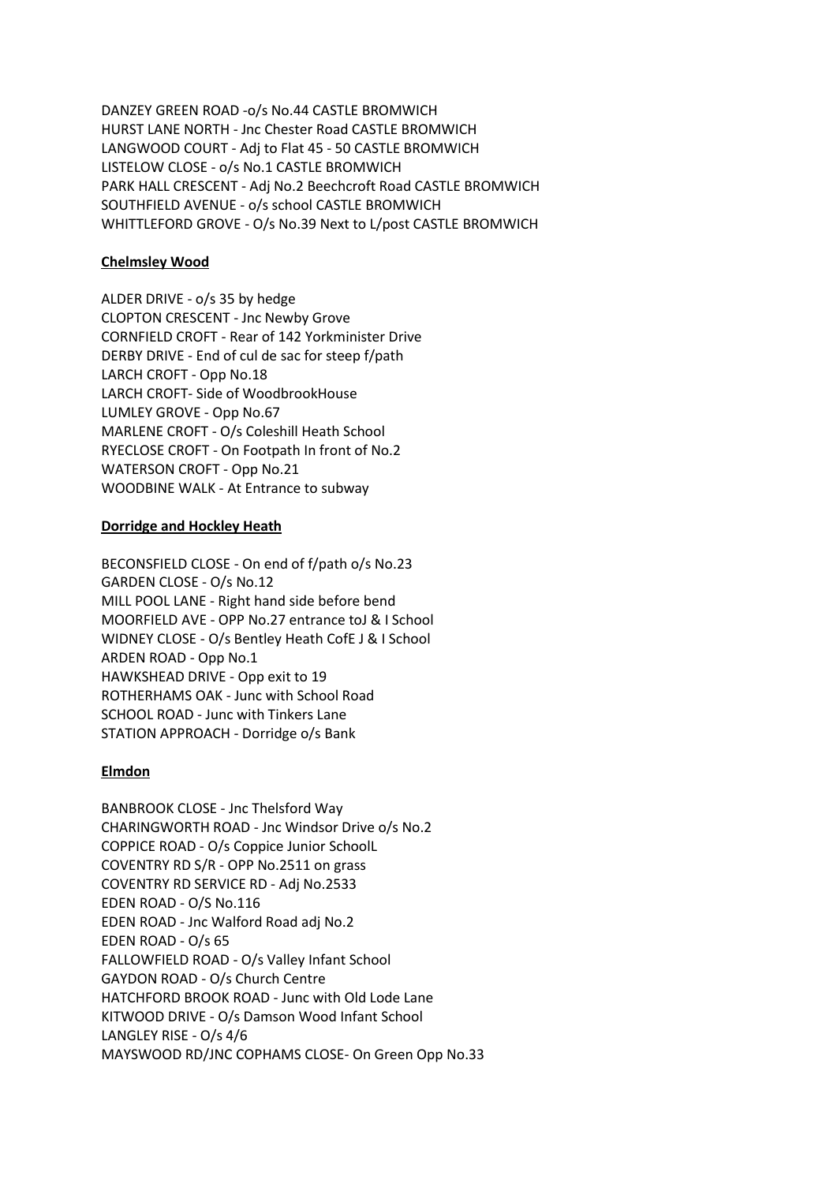DANZEY GREEN ROAD -o/s No.44 CASTLE BROMWICH HURST LANE NORTH - Jnc Chester Road CASTLE BROMWICH LANGWOOD COURT - Adj to Flat 45 - 50 CASTLE BROMWICH LISTELOW CLOSE - o/s No.1 CASTLE BROMWICH PARK HALL CRESCENT - Adj No.2 Beechcroft Road CASTLE BROMWICH SOUTHFIELD AVENUE - o/s school CASTLE BROMWICH WHITTLEFORD GROVE - O/s No.39 Next to L/post CASTLE BROMWICH

# **Chelmsley Wood**

ALDER DRIVE - o/s 35 by hedge CLOPTON CRESCENT - Jnc Newby Grove CORNFIELD CROFT - Rear of 142 Yorkminister Drive DERBY DRIVE - End of cul de sac for steep f/path LARCH CROFT - Opp No.18 LARCH CROFT- Side of WoodbrookHouse LUMLEY GROVE - Opp No.67 MARLENE CROFT - O/s Coleshill Heath School RYECLOSE CROFT - On Footpath In front of No.2 WATERSON CROFT - Opp No.21 WOODBINE WALK - At Entrance to subway

### **Dorridge and Hockley Heath**

BECONSFIELD CLOSE - On end of f/path o/s No.23 GARDEN CLOSE - O/s No.12 MILL POOL LANE - Right hand side before bend MOORFIELD AVE - OPP No.27 entrance toJ & I School WIDNEY CLOSE - O/s Bentley Heath CofE J & I School ARDEN ROAD - Opp No.1 HAWKSHEAD DRIVE - Opp exit to 19 ROTHERHAMS OAK - Junc with School Road SCHOOL ROAD - Junc with Tinkers Lane STATION APPROACH - Dorridge o/s Bank

### **Elmdon**

BANBROOK CLOSE - Jnc Thelsford Way CHARINGWORTH ROAD - Jnc Windsor Drive o/s No.2 COPPICE ROAD - O/s Coppice Junior SchoolL COVENTRY RD S/R - OPP No.2511 on grass COVENTRY RD SERVICE RD - Adj No.2533 EDEN ROAD - O/S No.116 EDEN ROAD - Jnc Walford Road adj No.2 EDEN ROAD - O/s 65 FALLOWFIELD ROAD - O/s Valley Infant School GAYDON ROAD - O/s Church Centre HATCHFORD BROOK ROAD - Junc with Old Lode Lane KITWOOD DRIVE - O/s Damson Wood Infant School LANGLEY RISE - O/s 4/6 MAYSWOOD RD/JNC COPHAMS CLOSE- On Green Opp No.33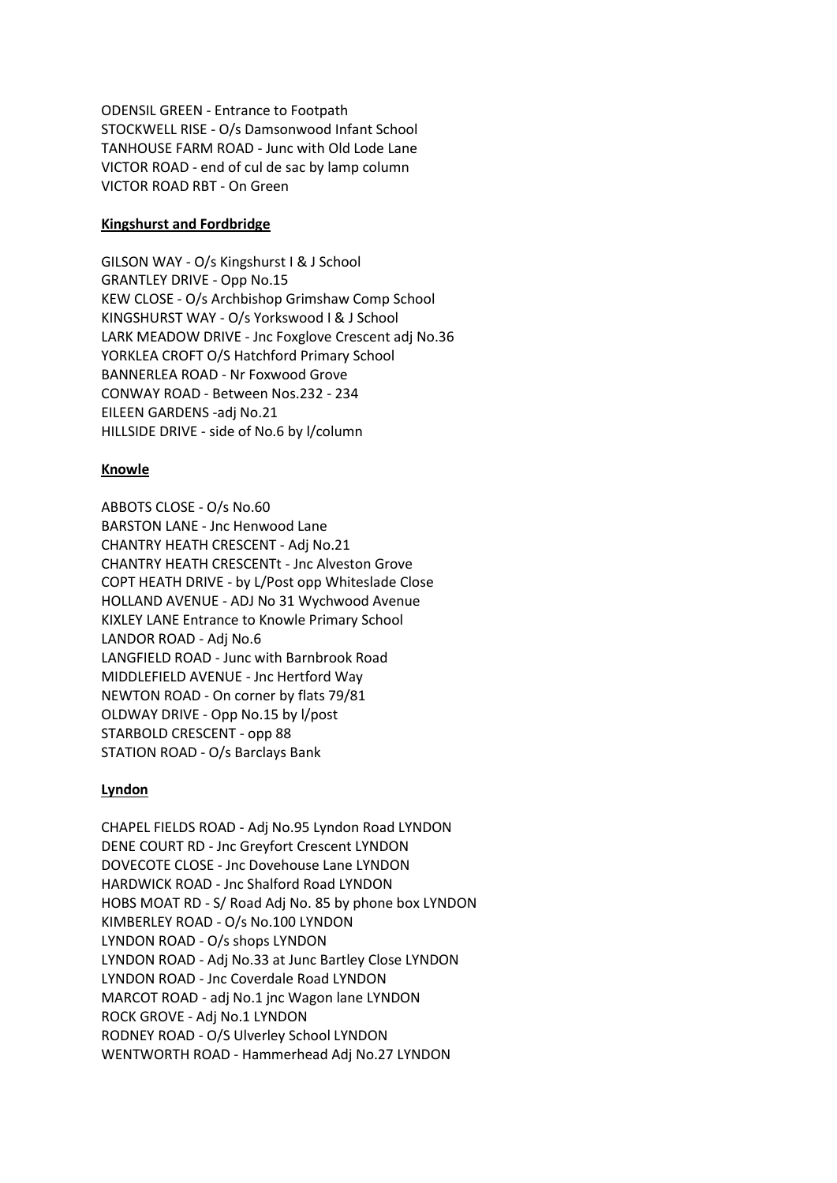ODENSIL GREEN - Entrance to Footpath STOCKWELL RISE - O/s Damsonwood Infant School TANHOUSE FARM ROAD - Junc with Old Lode Lane VICTOR ROAD - end of cul de sac by lamp column VICTOR ROAD RBT - On Green

## **Kingshurst and Fordbridge**

GILSON WAY - O/s Kingshurst I & J School GRANTLEY DRIVE - Opp No.15 KEW CLOSE - O/s Archbishop Grimshaw Comp School KINGSHURST WAY - O/s Yorkswood I & J School LARK MEADOW DRIVE - Jnc Foxglove Crescent adj No.36 YORKLEA CROFT O/S Hatchford Primary School BANNERLEA ROAD - Nr Foxwood Grove CONWAY ROAD - Between Nos.232 - 234 EILEEN GARDENS -adj No.21 HILLSIDE DRIVE - side of No.6 by l/column

# **Knowle**

ABBOTS CLOSE - O/s No.60 BARSTON LANE - Jnc Henwood Lane CHANTRY HEATH CRESCENT - Adj No.21 CHANTRY HEATH CRESCENTt - Jnc Alveston Grove COPT HEATH DRIVE - by L/Post opp Whiteslade Close HOLLAND AVENUE - ADJ No 31 Wychwood Avenue KIXLEY LANE Entrance to Knowle Primary School LANDOR ROAD - Adj No.6 LANGFIELD ROAD - Junc with Barnbrook Road MIDDLEFIELD AVENUE - Jnc Hertford Way NEWTON ROAD - On corner by flats 79/81 OLDWAY DRIVE - Opp No.15 by l/post STARBOLD CRESCENT - opp 88 STATION ROAD - O/s Barclays Bank

# **Lyndon**

CHAPEL FIELDS ROAD - Adj No.95 Lyndon Road LYNDON DENE COURT RD - Jnc Greyfort Crescent LYNDON DOVECOTE CLOSE - Jnc Dovehouse Lane LYNDON HARDWICK ROAD - Jnc Shalford Road LYNDON HOBS MOAT RD - S/ Road Adj No. 85 by phone box LYNDON KIMBERLEY ROAD - O/s No.100 LYNDON LYNDON ROAD - O/s shops LYNDON LYNDON ROAD - Adj No.33 at Junc Bartley Close LYNDON LYNDON ROAD - Jnc Coverdale Road LYNDON MARCOT ROAD - adj No.1 jnc Wagon lane LYNDON ROCK GROVE - Adj No.1 LYNDON RODNEY ROAD - O/S Ulverley School LYNDON WENTWORTH ROAD - Hammerhead Adj No.27 LYNDON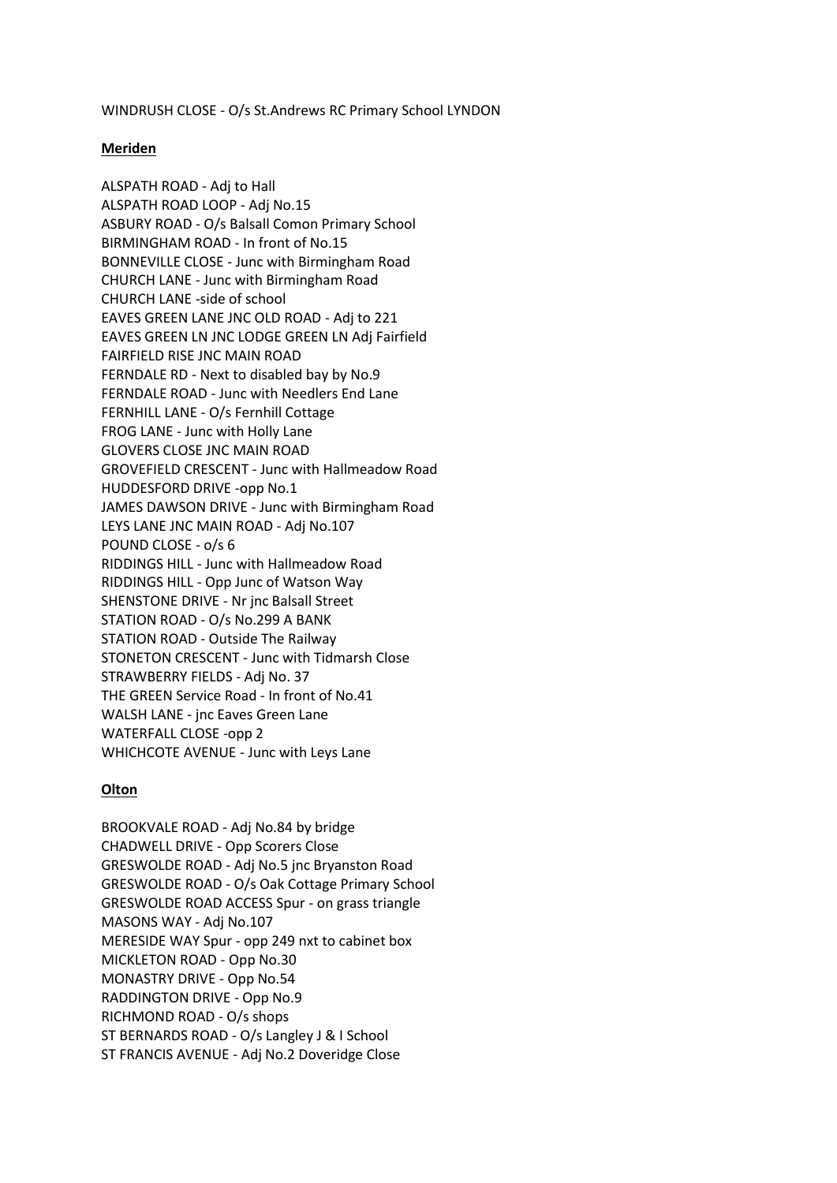WINDRUSH CLOSE - O/s St.Andrews RC Primary School LYNDON

### **Meriden**

ALSPATH ROAD - Adj to Hall ALSPATH ROAD LOOP - Adj No.15 ASBURY ROAD - O/s Balsall Comon Primary School BIRMINGHAM ROAD - In front of No.15 BONNEVILLE CLOSE - Junc with Birmingham Road CHURCH LANE - Junc with Birmingham Road CHURCH LANE -side of school EAVES GREEN LANE JNC OLD ROAD - Adj to 221 EAVES GREEN LN JNC LODGE GREEN LN Adj Fairfield FAIRFIELD RISE JNC MAIN ROAD FERNDALE RD - Next to disabled bay by No.9 FERNDALE ROAD - Junc with Needlers End Lane FERNHILL LANE - O/s Fernhill Cottage FROG LANE - Junc with Holly Lane GLOVERS CLOSE JNC MAIN ROAD GROVEFIELD CRESCENT - Junc with Hallmeadow Road HUDDESFORD DRIVE -opp No.1 JAMES DAWSON DRIVE - Junc with Birmingham Road LEYS LANE JNC MAIN ROAD - Adj No.107 POUND CLOSE - o/s 6 RIDDINGS HILL - Junc with Hallmeadow Road RIDDINGS HILL - Opp Junc of Watson Way SHENSTONE DRIVE - Nr jnc Balsall Street STATION ROAD - O/s No.299 A BANK STATION ROAD - Outside The Railway STONETON CRESCENT - Junc with Tidmarsh Close STRAWBERRY FIELDS - Adj No. 37 THE GREEN Service Road - In front of No.41 WALSH LANE - jnc Eaves Green Lane WATERFALL CLOSE -opp 2 WHICHCOTE AVENUE - Junc with Leys Lane

### **Olton**

BROOKVALE ROAD - Adj No.84 by bridge CHADWELL DRIVE - Opp Scorers Close GRESWOLDE ROAD - Adj No.5 jnc Bryanston Road GRESWOLDE ROAD - O/s Oak Cottage Primary School GRESWOLDE ROAD ACCESS Spur - on grass triangle MASONS WAY - Adj No.107 MERESIDE WAY Spur - opp 249 nxt to cabinet box MICKLETON ROAD - Opp No.30 MONASTRY DRIVE - Opp No.54 RADDINGTON DRIVE - Opp No.9 RICHMOND ROAD - O/s shops ST BERNARDS ROAD - O/s Langley J & I School ST FRANCIS AVENUE - Adj No.2 Doveridge Close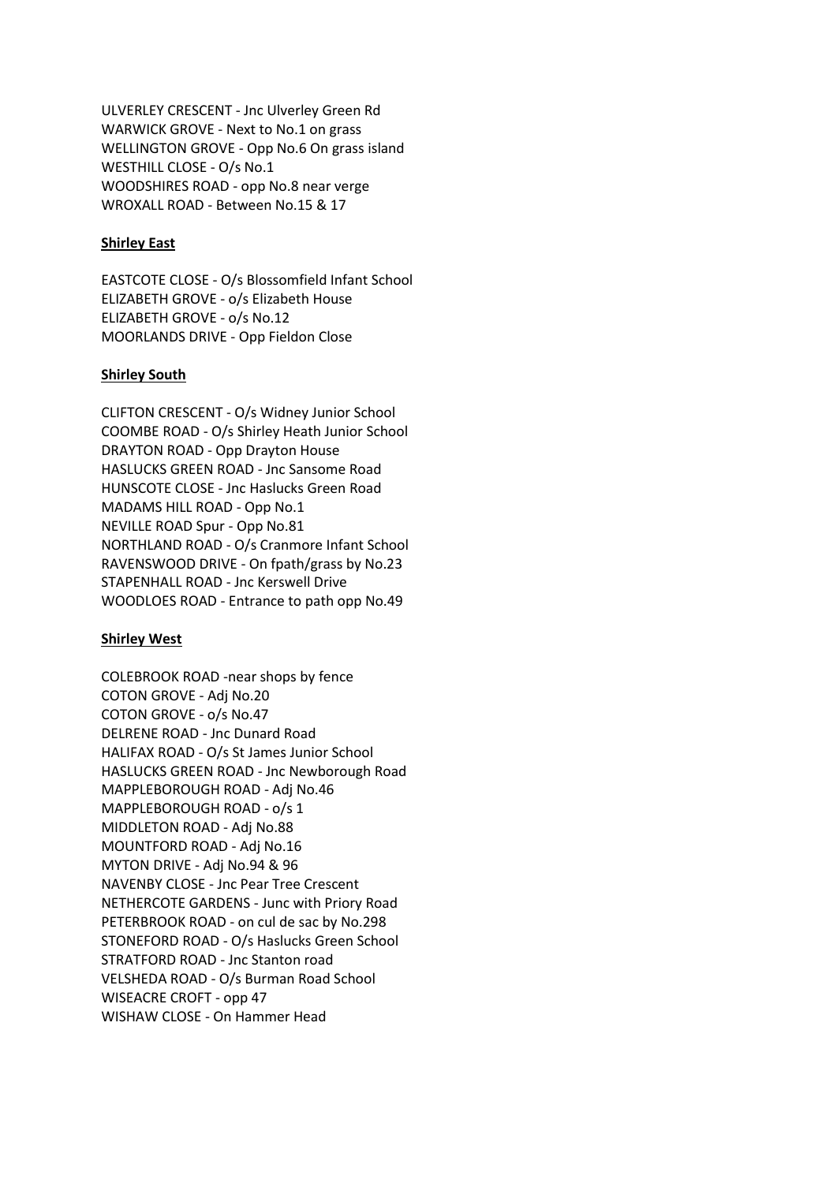ULVERLEY CRESCENT - Jnc Ulverley Green Rd WARWICK GROVE - Next to No.1 on grass WELLINGTON GROVE - Opp No.6 On grass island WESTHILL CLOSE - O/s No.1 WOODSHIRES ROAD - opp No.8 near verge WROXALL ROAD - Between No.15 & 17

# **Shirley East**

EASTCOTE CLOSE - O/s Blossomfield Infant School ELIZABETH GROVE - o/s Elizabeth House ELIZABETH GROVE - o/s No.12 MOORLANDS DRIVE - Opp Fieldon Close

### **Shirley South**

CLIFTON CRESCENT - O/s Widney Junior School COOMBE ROAD - O/s Shirley Heath Junior School DRAYTON ROAD - Opp Drayton House HASLUCKS GREEN ROAD - Jnc Sansome Road HUNSCOTE CLOSE - Jnc Haslucks Green Road MADAMS HILL ROAD - Opp No.1 NEVILLE ROAD Spur - Opp No.81 NORTHLAND ROAD - O/s Cranmore Infant School RAVENSWOOD DRIVE - On fpath/grass by No.23 STAPENHALL ROAD - Jnc Kerswell Drive WOODLOES ROAD - Entrance to path opp No.49

### **Shirley West**

COLEBROOK ROAD -near shops by fence COTON GROVE - Adj No.20 COTON GROVE - o/s No.47 DELRENE ROAD - Jnc Dunard Road HALIFAX ROAD - O/s St James Junior School HASLUCKS GREEN ROAD - Jnc Newborough Road MAPPLEBOROUGH ROAD - Adj No.46 MAPPLEBOROUGH ROAD - o/s 1 MIDDLETON ROAD - Adj No.88 MOUNTFORD ROAD - Adj No.16 MYTON DRIVE - Adj No.94 & 96 NAVENBY CLOSE - Jnc Pear Tree Crescent NETHERCOTE GARDENS - Junc with Priory Road PETERBROOK ROAD - on cul de sac by No.298 STONEFORD ROAD - O/s Haslucks Green School STRATFORD ROAD - Jnc Stanton road VELSHEDA ROAD - O/s Burman Road School WISEACRE CROFT - opp 47 WISHAW CLOSE - On Hammer Head